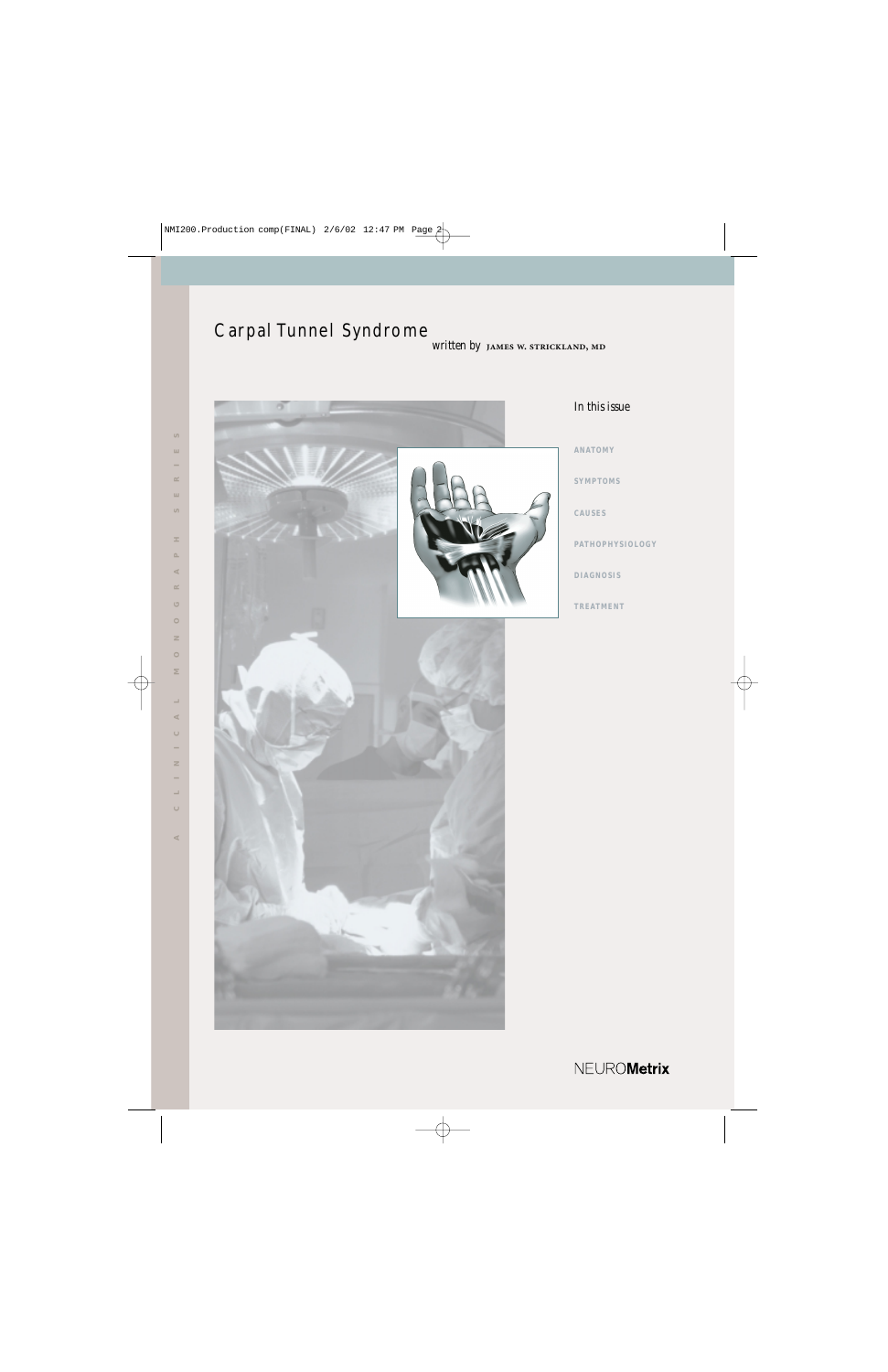# Carpal Tunnel Syndrome *written by* JAMES W. STRICKLAND, MD



## *In this issue*

**ANATOMY SYMPTOMS CAUSES**

**PATHOPHYSIOLOGY**

**DIAGNOSIS**

**TREATMENT**

NEUROMetrix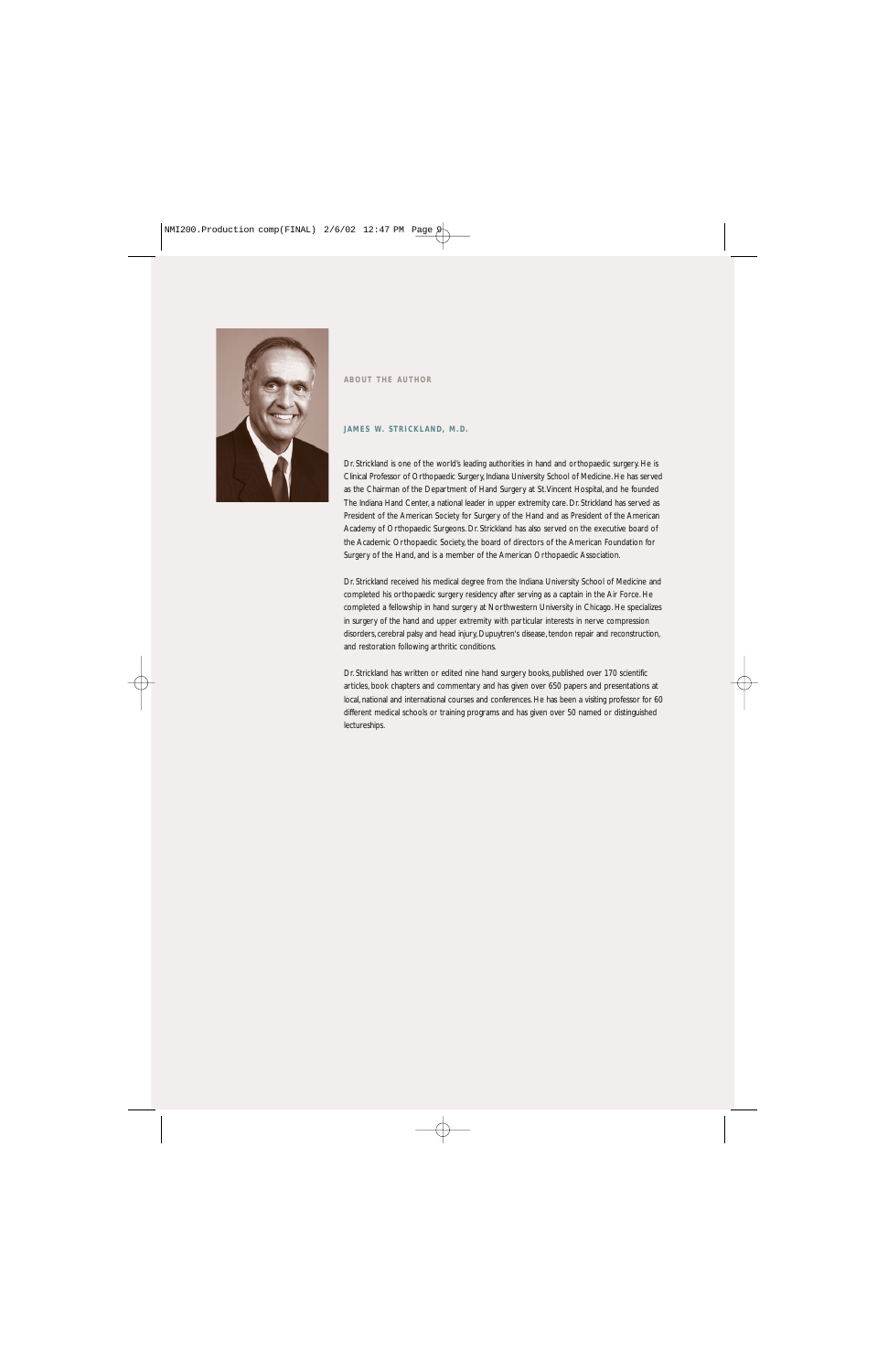

## **ABOUT THE AUTHOR**

## **JAMES W. STRICKLAND, M.D.**

Dr. Strickland is one of the world's leading authorities in hand and orthopaedic surgery. He is Clinical Professor of Orthopaedic Surgery, Indiana University School of Medicine. He has served as the Chairman of the Department of Hand Surgery at St.Vincent Hospital, and he founded The Indiana Hand Center, a national leader in upper extremity care. Dr. Strickland has served as President of the American Society for Surgery of the Hand and as President of the American Academy of Orthopaedic Surgeons. Dr. Strickland has also served on the executive board of the Academic Orthopaedic Society, the board of directors of the American Foundation for Surgery of the Hand, and is a member of the American Orthopaedic Association.

Dr. Strickland received his medical degree from the Indiana University School of Medicine and completed his orthopaedic surgery residency after serving as a captain in the Air Force. He completed a fellowship in hand surgery at Northwestern University in Chicago. He specializes in surgery of the hand and upper extremity with particular interests in nerve compression disorders, cerebral palsy and head injury, Dupuytren's disease, tendon repair and reconstruction, and restoration following arthritic conditions.

Dr. Strickland has written or edited nine hand surgery books, published over 170 scientific articles, book chapters and commentary and has given over 650 papers and presentations at local, national and international courses and conferences. He has been a visiting professor for 60 different medical schools or training programs and has given over 50 named or distinguished lectureships.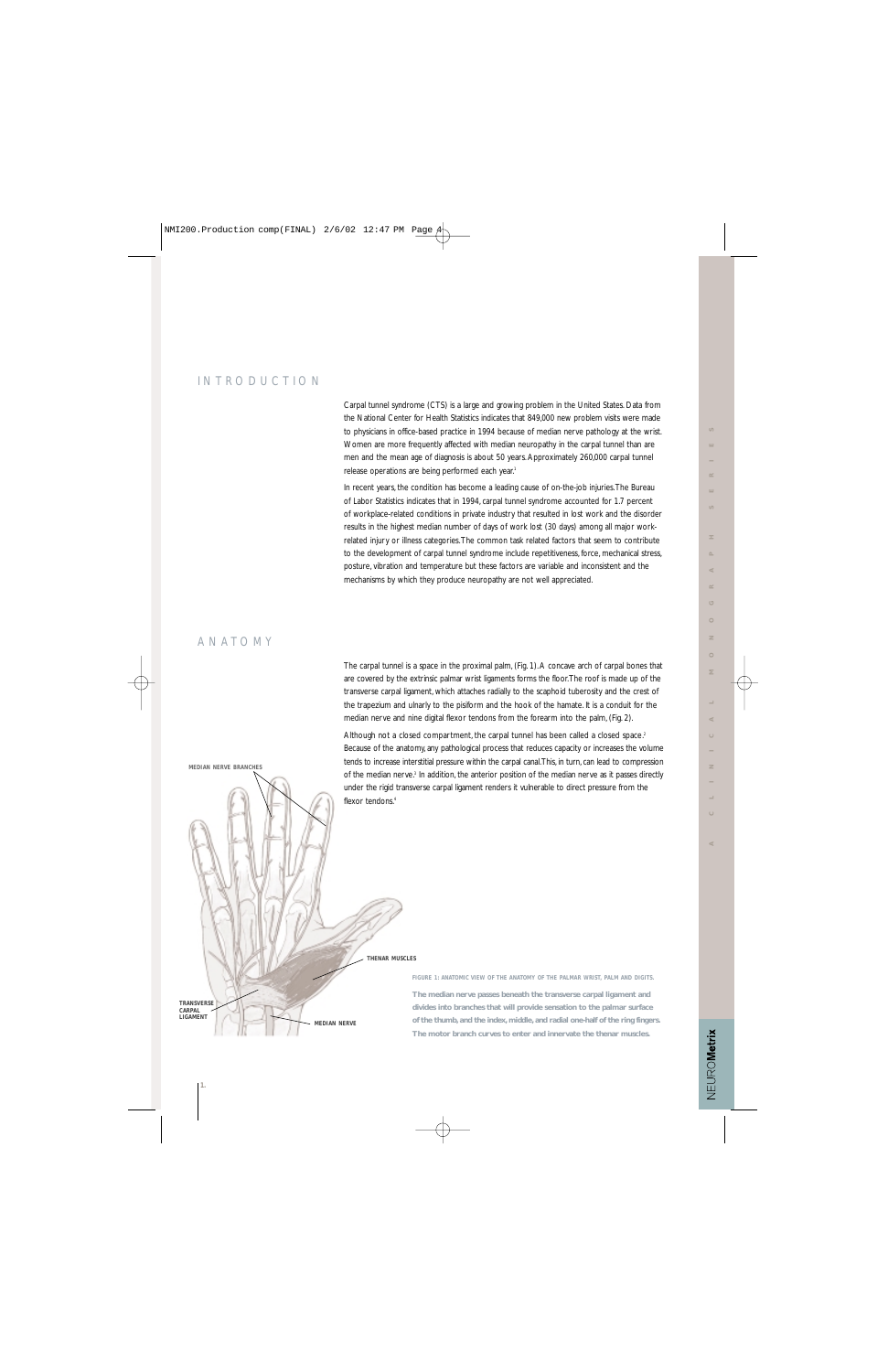# INTRODUCTION

Carpal tunnel syndrome (CTS) is a large and growing problem in the United States. Data from the National Center for Health Statistics indicates that 849,000 new problem visits were made to physicians in office-based practice in 1994 because of median nerve pathology at the wrist. Women are more frequently affected with median neuropathy in the carpal tunnel than are men and the mean age of diagnosis is about 50 years. Approximately 260,000 carpal tunnel release operations are being performed each year.<sup>1</sup>

In recent years, the condition has become a leading cause of on-the-job injuries.The Bureau of Labor Statistics indicates that in 1994, carpal tunnel syndrome accounted for 1.7 percent of workplace-related conditions in private industry that resulted in lost work and the disorder results in the highest median number of days of work lost (30 days) among all major workrelated injury or illness categories.The common task related factors that seem to contribute to the development of carpal tunnel syndrome include repetitiveness, force, mechanical stress, posture, vibration and temperature but these factors are variable and inconsistent and the mechanisms by which they produce neuropathy are not well appreciated.

# ANATOMY

are covered by the extrinsic palmar wrist ligaments forms the floor.The roof is made up of the transverse carpal ligament, which attaches radially to the scaphoid tuberosity and the crest of the trapezium and ulnarly to the pisiform and the hook of the hamate. It is a conduit for the median nerve and nine digital flexor tendons from the forearm into the palm, (Fig. 2). Although not a closed compartment, the carpal tunnel has been called a closed space.<sup>2</sup> Because of the anatomy, any pathological process that reduces capacity or increases the volume

tends to increase interstitial pressure within the carpal canal.This, in turn, can lead to compression of the median nerve.<sup>3</sup> In addition, the anterior position of the median nerve as it passes directly under the rigid transverse carpal ligament renders it vulnerable to direct pressure from the

The carpal tunnel is a space in the proximal palm, (Fig. 1). A concave arch of carpal bones that



FIGURE 1: ANATOMIC VIEW OF THE ANATOMY OF THE PALMAR WRIST, PALM AND DIGITS.

**The median nerve passes beneath the transverse carpal ligament and divides into branches that will provide sensation to the palmar surface of the thumb, and the index, middle, and radial one-half of the ring fingers. The motor branch curves to enter and innervate the thenar muscles.**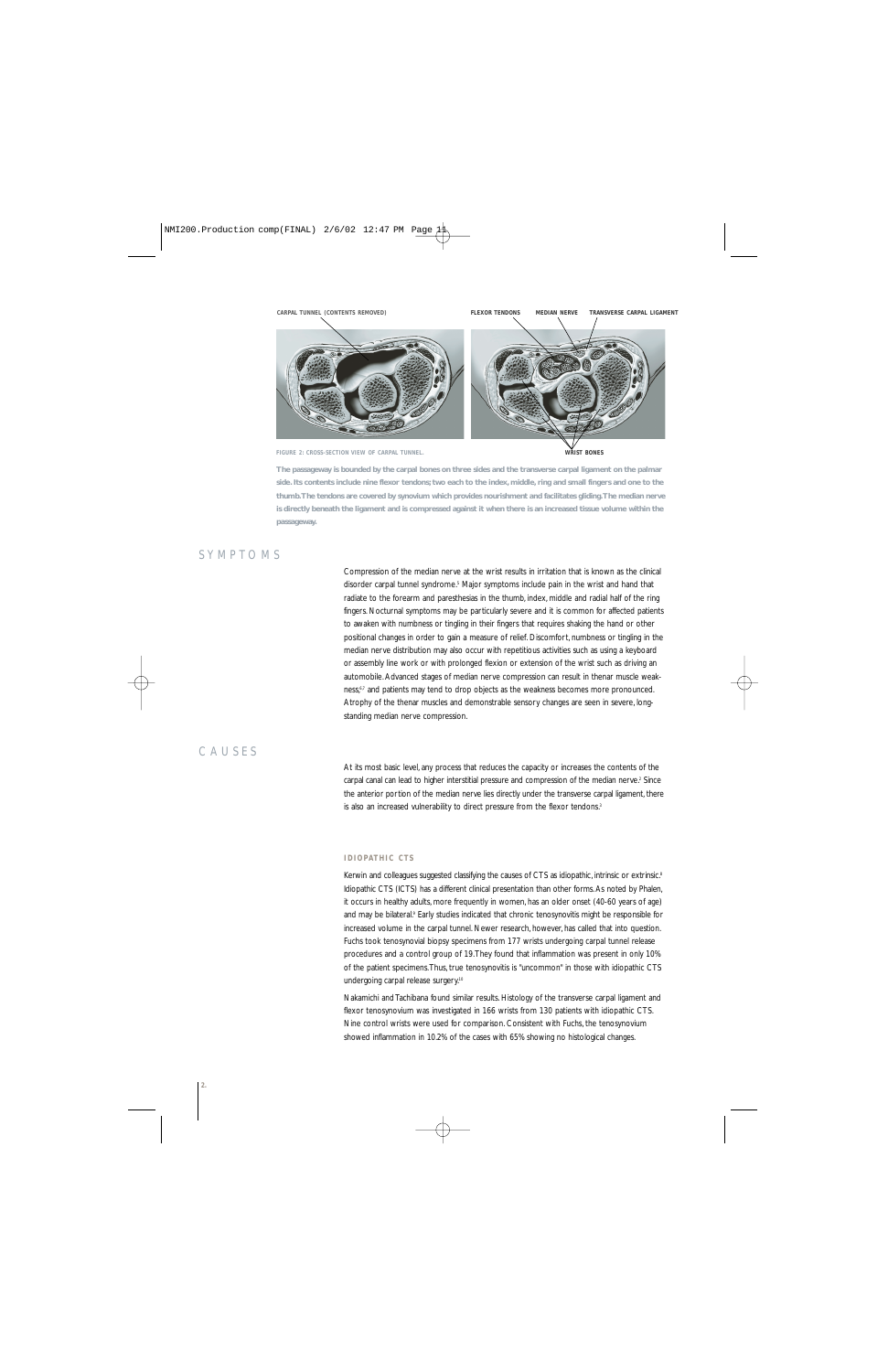

**FIGURE 2: CROSS-SECTION VIEW OF CARPAL TUNNEL.**

**WRIST BONES**

**The passageway is bounded by the carpal bones on three sides and the transverse carpal ligament on the palmar side. Its contents include nine flexor tendons; two each to the index, middle, ring and small fingers and one to the thumb.The tendons are covered by synovium which provides nourishment and facilitates gliding.The median nerve is directly beneath the ligament and is compressed against it when there is an increased tissue volume within the passageway.**

## SYMPTOMS

Compression of the median nerve at the wrist results in irritation that is known as the clinical disorder carpal tunnel syndrome.5 Major symptoms include pain in the wrist and hand that radiate to the forearm and paresthesias in the thumb, index, middle and radial half of the ring fingers. Nocturnal symptoms may be particularly severe and it is common for affected patients to awaken with numbness or tingling in their fingers that requires shaking the hand or other positional changes in order to gain a measure of relief. Discomfort, numbness or tingling in the median nerve distribution may also occur with repetitious activities such as using a keyboard or assembly line work or with prolonged flexion or extension of the wrist such as driving an automobile. Advanced stages of median nerve compression can result in thenar muscle weakness,<sup>6,7</sup> and patients may tend to drop objects as the weakness becomes more pronounced. Atrophy of the thenar muscles and demonstrable sensory changes are seen in severe, longstanding median nerve compression.

## CAUSES

At its most basic level, any process that reduces the capacity or increases the contents of the carpal canal can lead to higher interstitial pressure and compression of the median nerve.<sup>2</sup> Since the anterior portion of the median nerve lies directly under the transverse carpal ligament, there is also an increased vulnerability to direct pressure from the flexor tendons.<sup>3</sup>

## **IDIOPATHIC CTS**

Kerwin and colleagues suggested classifying the causes of CTS as idiopathic, intrinsic or extrinsic.<sup>8</sup> Idiopathic CTS (ICTS) has a different clinical presentation than other forms. As noted by Phalen, it occurs in healthy adults, more frequently in women, has an older onset (40-60 years of age) and may be bilateral.<sup>9</sup> Early studies indicated that chronic tenosynovitis might be responsible for increased volume in the carpal tunnel. Newer research, however, has called that into question. Fuchs took tenosynovial biopsy specimens from 177 wrists undergoing carpal tunnel release procedures and a control group of 19.They found that inflammation was present in only 10% of the patient specimens.Thus, true tenosynovitis is "uncommon" in those with idiopathic CTS undergoing carpal release surgery.<sup>10</sup>

Nakamichi and Tachibana found similar results. Histology of the transverse carpal ligament and flexor tenosynovium was investigated in 166 wrists from 130 patients with idiopathic CTS. Nine control wrists were used for comparison. Consistent with Fuchs, the tenosynovium showed inflammation in 10.2% of the cases with 65% showing no histological changes.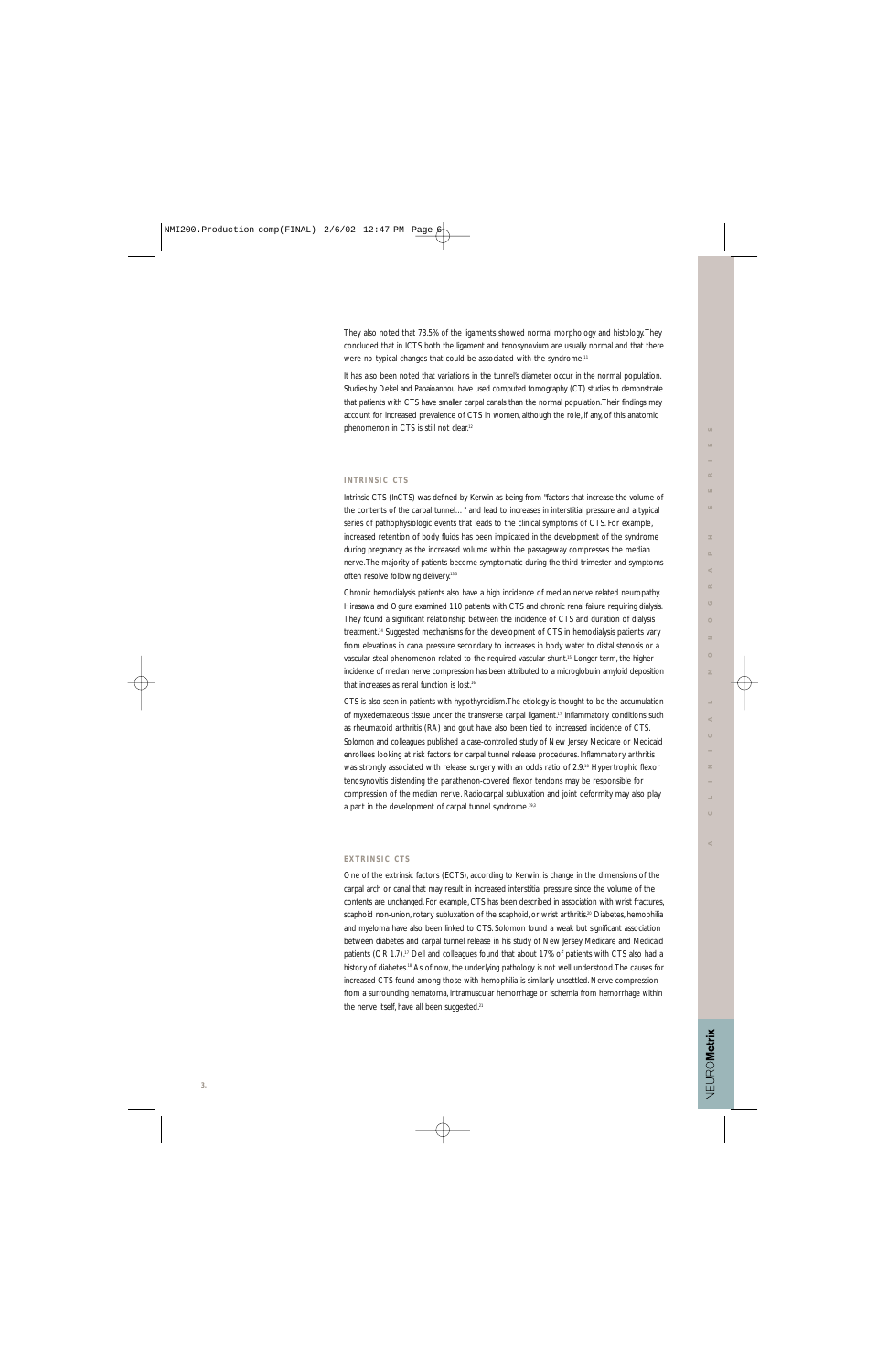NEUROMetrix

They also noted that 73.5% of the ligaments showed normal morphology and histology.They concluded that in ICTS both the ligament and tenosynovium are usually normal and that there were no typical changes that could be associated with the syndrome.<sup>11</sup>

It has also been noted that variations in the tunnel's diameter occur in the normal population. Studies by Dekel and Papaioannou have used computed tomography (CT) studies to demonstrate that patients with CTS have smaller carpal canals than the normal population.Their findings may account for increased prevalence of CTS in women, although the role, if any, of this anatomic phenomenon in CTS is still not clear.12

## **INTRINSIC CTS**

Intrinsic CTS (InCTS) was defined by Kerwin as being from "factors that increase the volume of the contents of the carpal tunnel…" and lead to increases in interstitial pressure and a typical series of pathophysiologic events that leads to the clinical symptoms of CTS. For example, increased retention of body fluids has been implicated in the development of the syndrome during pregnancy as the increased volume within the passageway compresses the median nerve.The majority of patients become symptomatic during the third trimester and symptoms often resolve following delivery.<sup>13,3</sup>

Chronic hemodialysis patients also have a high incidence of median nerve related neuropathy. Hirasawa and Ogura examined 110 patients with CTS and chronic renal failure requiring dialysis. They found a significant relationship between the incidence of CTS and duration of dialysis treatment.14 Suggested mechanisms for the development of CTS in hemodialysis patients vary from elevations in canal pressure secondary to increases in body water to distal stenosis or a vascular steal phenomenon related to the required vascular shunt.15 Longer-term, the higher incidence of median nerve compression has been attributed to a microglobulin amyloid deposition that increases as renal function is lost.<sup>16</sup>

CTS is also seen in patients with hypothyroidism.The etiology is thought to be the accumulation of myxedemateous tissue under the transverse carpal ligament.<sup>17</sup> Inflammatory conditions such as rheumatoid arthritis (RA) and gout have also been tied to increased incidence of CTS. Solomon and colleagues published a case-controlled study of New Jersey Medicare or Medicaid enrollees looking at risk factors for carpal tunnel release procedures. Inflammatory arthritis was strongly associated with release surgery with an odds ratio of 2.9.<sup>18</sup> Hypertrophic flexor tenosynovitis distending the parathenon-covered flexor tendons may be responsible for compression of the median nerve. Radiocarpal subluxation and joint deformity may also play a part in the development of carpal tunnel syndrome.<sup>19,3</sup>

#### **EXTRINSIC CTS**

One of the extrinsic factors (ECTS), according to Kerwin, is change in the dimensions of the carpal arch or canal that may result in increased interstitial pressure since the volume of the contents are unchanged. For example, CTS has been described in association with wrist fractures, scaphoid non-union, rotary subluxation of the scaphoid, or wrist arthritis.<sup>20</sup> Diabetes, hemophilia and myeloma have also been linked to CTS. Solomon found a weak but significant association between diabetes and carpal tunnel release in his study of New Jersey Medicare and Medicaid patients (OR 1.7).<sup>17</sup> Dell and colleagues found that about 17% of patients with CTS also had a history of diabetes.<sup>18</sup> As of now, the underlying pathology is not well understood. The causes for increased CTS found among those with hemophilia is similarly unsettled. Nerve compression from a surrounding hematoma, intramuscular hemorrhage or ischemia from hemorrhage within the nerve itself, have all been suggested.<sup>21</sup>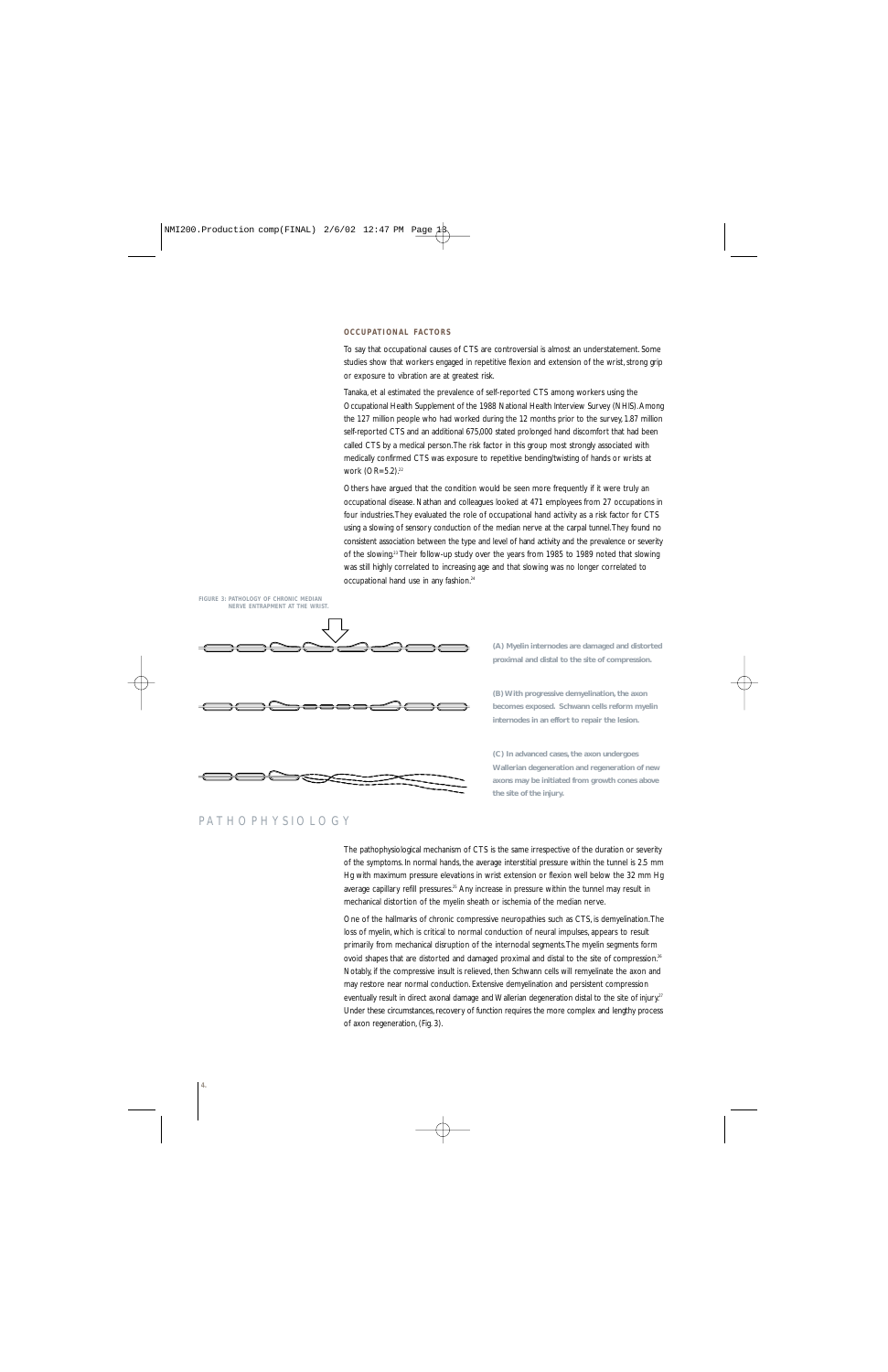### **OCCUPATIONAL FACTORS**

To say that occupational causes of CTS are controversial is almost an understatement. Some studies show that workers engaged in repetitive flexion and extension of the wrist, strong grip or exposure to vibration are at greatest risk.

Tanaka, et al estimated the prevalence of self-reported CTS among workers using the Occupational Health Supplement of the 1988 National Health Interview Survey (NHIS). Among the 127 million people who had worked during the 12 months prior to the survey, 1.87 million self-reported CTS and an additional 675,000 stated prolonged hand discomfort that had been called CTS by a medical person.The risk factor in this group most strongly associated with medically confirmed CTS was exposure to repetitive bending/twisting of hands or wrists at work (OR=5.2).<sup>22</sup>

Others have argued that the condition would be seen more frequently if it were truly an occupational disease. Nathan and colleagues looked at 471 employees from 27 occupations in four industries.They evaluated the role of occupational hand activity as a risk factor for CTS using a slowing of sensory conduction of the median nerve at the carpal tunnel.They found no consistent association between the type and level of hand activity and the prevalence or severity of the slowing.23 Their follow-up study over the years from 1985 to 1989 noted that slowing was still highly correlated to increasing age and that slowing was no longer correlated to occupational hand use in any fashion.24



**(A) Myelin internodes are damaged and distorted proximal and distal to the site of compression.**

**(B) With progressive demyelination, the axon becomes exposed. Schwann cells reform myelin internodes in an effort to repair the lesion.**

**(C) In advanced cases, the axon undergoes Wallerian degeneration and regeneration of new axons may be initiated from growth cones above the site of the injury.**

## PATHOPHYSIOLOGY

The pathophysiological mechanism of CTS is the same irrespective of the duration or severity of the symptoms. In normal hands, the average interstitial pressure within the tunnel is 2.5 mm Hg with maximum pressure elevations in wrist extension or flexion well below the 32 mm Hg average capillary refill pressures.<sup>25</sup> Any increase in pressure within the tunnel may result in mechanical distortion of the myelin sheath or ischemia of the median nerve.

One of the hallmarks of chronic compressive neuropathies such as CTS, is demyelination.The loss of myelin, which is critical to normal conduction of neural impulses, appears to result primarily from mechanical disruption of the internodal segments.The myelin segments form ovoid shapes that are distorted and damaged proximal and distal to the site of compression.<sup>26</sup> Notably, if the compressive insult is relieved, then Schwann cells will remyelinate the axon and may restore near normal conduction. Extensive demyelination and persistent compression eventually result in direct axonal damage and Wallerian degeneration distal to the site of injury.<sup>27</sup> Under these circumstances, recovery of function requires the more complex and lengthy process of axon regeneration, (Fig. 3).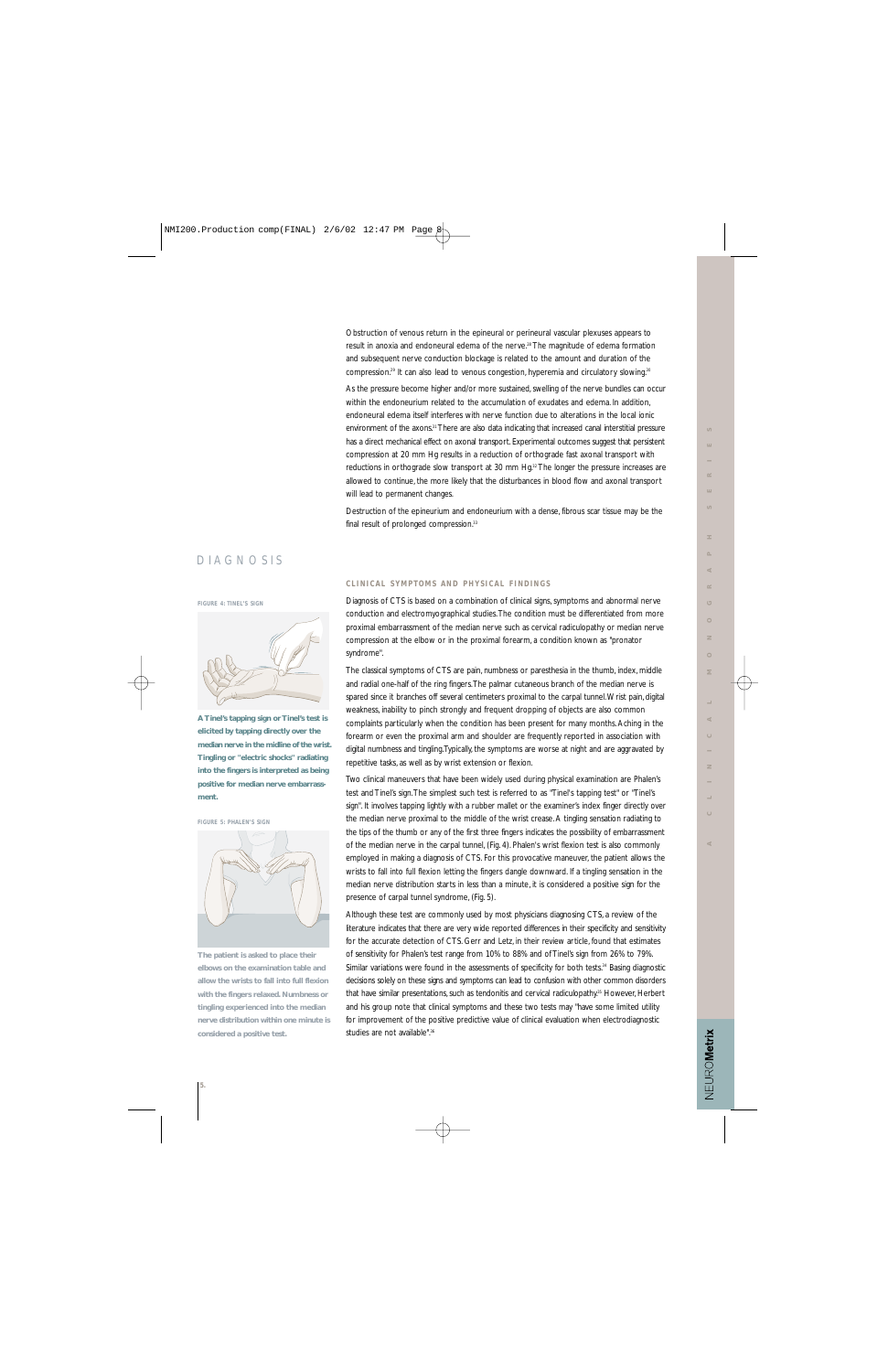Obstruction of venous return in the epineural or perineural vascular plexuses appears to result in anoxia and endoneural edema of the nerve.<sup>28</sup> The magnitude of edema formation and subsequent nerve conduction blockage is related to the amount and duration of the compression.<sup>29</sup> It can also lead to venous congestion, hyperemia and circulatory slowing.<sup>30</sup>

As the pressure become higher and/or more sustained, swelling of the nerve bundles can occur within the endoneurium related to the accumulation of exudates and edema. In addition, endoneural edema itself interferes with nerve function due to alterations in the local ionic environment of the axons.<sup>31</sup> There are also data indicating that increased canal interstitial pressure has a direct mechanical effect on axonal transport. Experimental outcomes suggest that persistent compression at 20 mm Hg results in a reduction of orthograde fast axonal transport with reductions in orthograde slow transport at 30 mm Hg.<sup>32</sup> The longer the pressure increases are allowed to continue, the more likely that the disturbances in blood flow and axonal transport will lead to permanent changes.

Destruction of the epineurium and endoneurium with a dense, fibrous scar tissue may be the final result of prolonged compression.<sup>33</sup>

## DIAGNOSIS

#### **FIGURE 4: TINEL'S SIGN**



**A Tinel's tapping sign or Tinel's test is elicited by tapping directly over the median nerve in the midline of the wrist. Tingling or "electric shocks" radiating into the fingers is interpreted as being positive for median nerve embarrassment.**

**FIGURE 5: PHALEN'S SIGN**



**The patient is asked to place their elbows on the examination table and allow the wrists to fall into full flexion with the fingers relaxed. Numbness or tingling experienced into the median nerve distribution within one minute is considered a positive test.**

#### **CLINICAL SYMPTOMS AND PHYSICAL FINDINGS**

Diagnosis of CTS is based on a combination of clinical signs, symptoms and abnormal nerve conduction and electromyographical studies.The condition must be differentiated from more proximal embarrassment of the median nerve such as cervical radiculopathy or median nerve compression at the elbow or in the proximal forearm, a condition known as "pronator syndrome".

The classical symptoms of CTS are pain, numbness or paresthesia in the thumb, index, middle and radial one-half of the ring fingers.The palmar cutaneous branch of the median nerve is spared since it branches off several centimeters proximal to the carpal tunnel.Wrist pain, digital weakness, inability to pinch strongly and frequent dropping of objects are also common complaints particularly when the condition has been present for many months. Aching in the forearm or even the proximal arm and shoulder are frequently reported in association with digital numbness and tingling.Typically, the symptoms are worse at night and are aggravated by repetitive tasks, as well as by wrist extension or flexion.

Two clinical maneuvers that have been widely used during physical examination are Phalen's test and Tinel's sign.The simplest such test is referred to as "Tinel's tapping test" or "Tinel's sign". It involves tapping lightly with a rubber mallet or the examiner's index finger directly over the median nerve proximal to the middle of the wrist crease. A tingling sensation radiating to the tips of the thumb or any of the first three fingers indicates the possibility of embarrassment of the median nerve in the carpal tunnel, (Fig. 4). Phalen's wrist flexion test is also commonly employed in making a diagnosis of CTS. For this provocative maneuver, the patient allows the wrists to fall into full flexion letting the fingers dangle downward. If a tingling sensation in the median nerve distribution starts in less than a minute, it is considered a positive sign for the presence of carpal tunnel syndrome, (Fig. 5).

Although these test are commonly used by most physicians diagnosing CTS, a review of the literature indicates that there are very wide reported differences in their specificity and sensitivity for the accurate detection of CTS. Gerr and Letz, in their review article, found that estimates of sensitivity for Phalen's test range from 10% to 88% and of Tinel's sign from 26% to 79%. Similar variations were found in the assessments of specificity for both tests.<sup>34</sup> Basing diagnostic decisions solely on these signs and symptoms can lead to confusion with other common disorders that have similar presentations, such as tendonitis and cervical radiculopathy.<sup>35</sup> However, Herbert and his group note that clinical symptoms and these two tests may "have some limited utility for improvement of the positive predictive value of clinical evaluation when electrodiagnostic studies are not available".<sup>36</sup>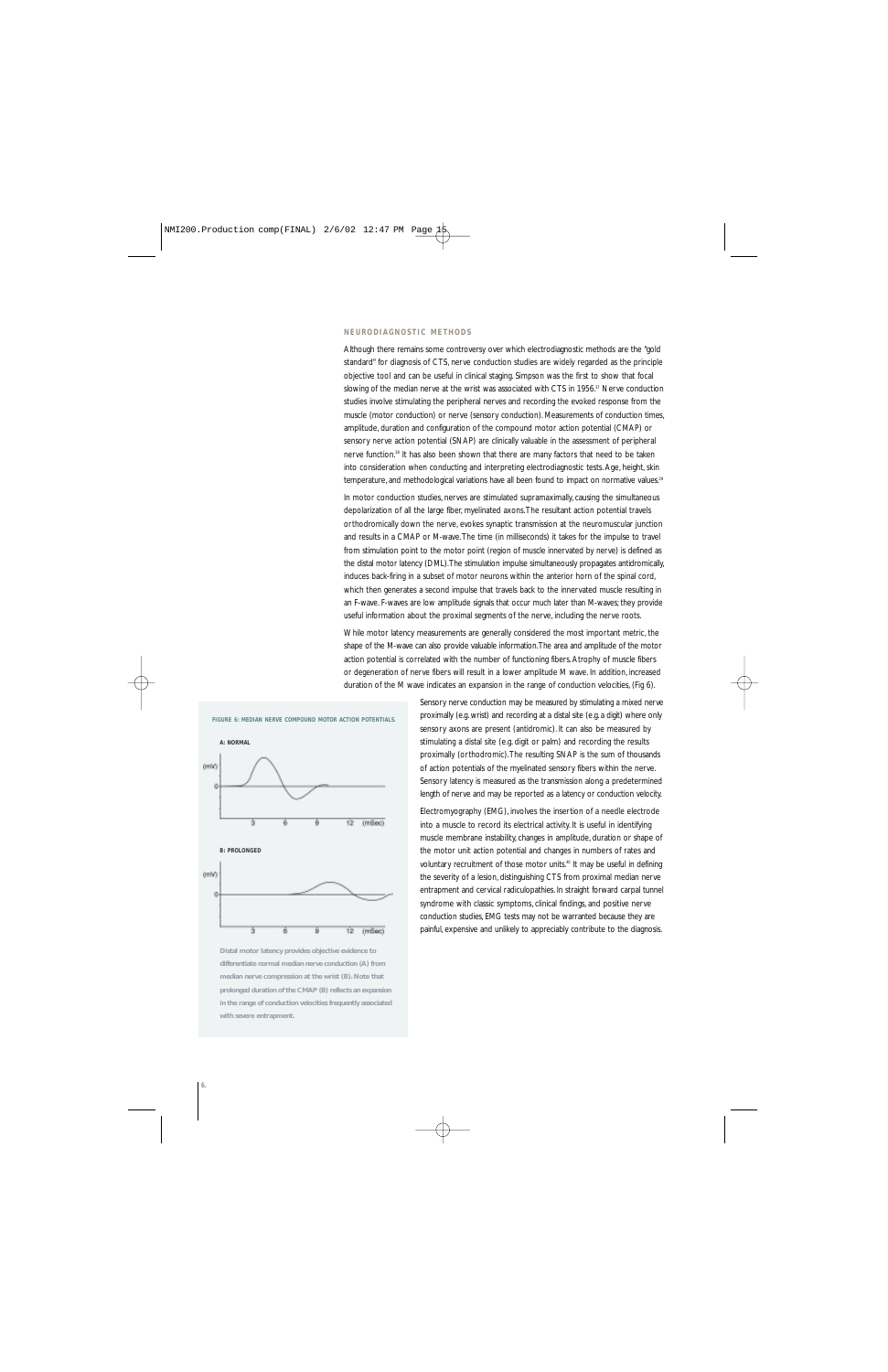### **NEURODIAGNOSTIC METHODS**

Although there remains some controversy over which electrodiagnostic methods are the "gold standard" for diagnosis of CTS, nerve conduction studies are widely regarded as the principle objective tool and can be useful in clinical staging. Simpson was the first to show that focal slowing of the median nerve at the wrist was associated with CTS in 1956.<sup>37</sup> Nerve conduction studies involve stimulating the peripheral nerves and recording the evoked response from the muscle (motor conduction) or nerve (sensory conduction). Measurements of conduction times, amplitude, duration and configuration of the compound motor action potential (CMAP) or sensory nerve action potential (SNAP) are clinically valuable in the assessment of peripheral nerve function.38 It has also been shown that there are many factors that need to be taken into consideration when conducting and interpreting electrodiagnostic tests. Age, height, skin temperature, and methodological variations have all been found to impact on normative values.<sup>39</sup>

In motor conduction studies, nerves are stimulated supramaximally, causing the simultaneous depolarization of all the large fiber, myelinated axons.The resultant action potential travels orthodromically down the nerve, evokes synaptic transmission at the neuromuscular junction and results in a CMAP or M-wave.The time (in milliseconds) it takes for the impulse to travel from stimulation point to the motor point (region of muscle innervated by nerve) is defined as the distal motor latency (DML).The stimulation impulse simultaneously propagates antidromically, induces back-firing in a subset of motor neurons within the anterior horn of the spinal cord, which then generates a second impulse that travels back to the innervated muscle resulting in an F-wave. F-waves are low amplitude signals that occur much later than M-waves; they provide useful information about the proximal segments of the nerve, including the nerve roots.

While motor latency measurements are generally considered the most important metric, the shape of the M-wave can also provide valuable information.The area and amplitude of the motor action potential is correlated with the number of functioning fibers. Atrophy of muscle fibers or degeneration of nerve fibers will result in a lower amplitude M wave. In addition, increased duration of the M wave indicates an expansion in the range of conduction velocities, (Fig 6).





Sensory nerve conduction may be measured by stimulating a mixed nerve proximally (e.g. wrist) and recording at a distal site (e.g. a digit) where only sensory axons are present (antidromic). It can also be measured by stimulating a distal site (e.g. digit or palm) and recording the results proximally (orthodromic).The resulting SNAP is the sum of thousands of action potentials of the myelinated sensory fibers within the nerve. Sensory latency is measured as the transmission along a predetermined length of nerve and may be reported as a latency or conduction velocity.

Electromyography (EMG), involves the insertion of a needle electrode into a muscle to record its electrical activity. It is useful in identifying muscle membrane instability, changes in amplitude, duration or shape of the motor unit action potential and changes in numbers of rates and voluntary recruitment of those motor units.<sup>40</sup> It may be useful in defining the severity of a lesion, distinguishing CTS from proximal median nerve entrapment and cervical radiculopathies. In straight forward carpal tunnel syndrome with classic symptoms, clinical findings, and positive nerve conduction studies, EMG tests may not be warranted because they are painful, expensive and unlikely to appreciably contribute to the diagnosis.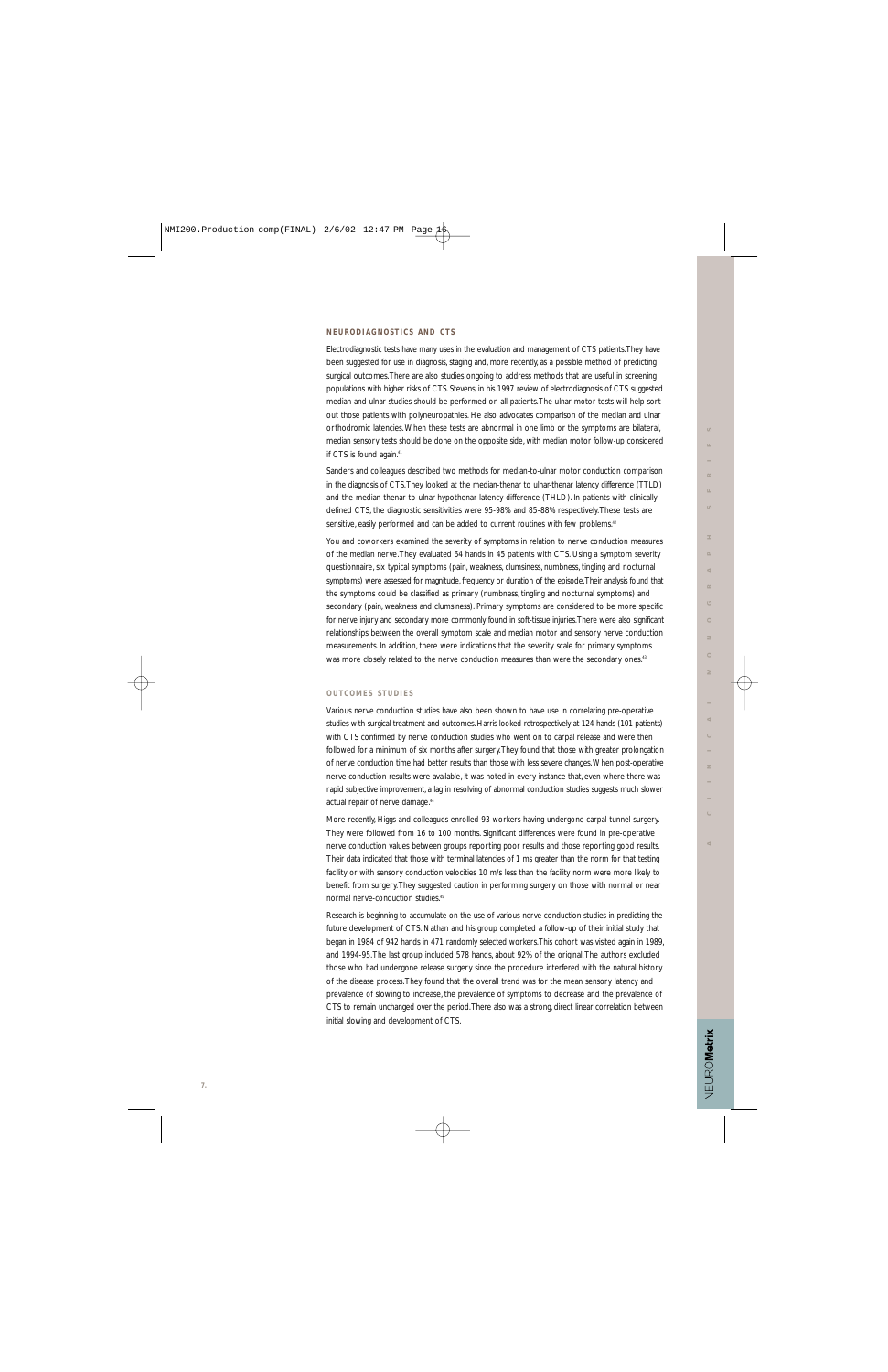## **NEURODIAGNOSTICS AND CTS**

Electrodiagnostic tests have many uses in the evaluation and management of CTS patients.They have been suggested for use in diagnosis, staging and, more recently, as a possible method of predicting surgical outcomes.There are also studies ongoing to address methods that are useful in screening populations with higher risks of CTS. Stevens, in his 1997 review of electrodiagnosis of CTS suggested median and ulnar studies should be performed on all patients.The ulnar motor tests will help sort out those patients with polyneuropathies. He also advocates comparison of the median and ulnar orthodromic latencies.When these tests are abnormal in one limb or the symptoms are bilateral, median sensory tests should be done on the opposite side, with median motor follow-up considered if CTS is found again.<sup>41</sup>

Sanders and colleagues described two methods for median-to-ulnar motor conduction comparison in the diagnosis of CTS.They looked at the median-thenar to ulnar-thenar latency difference (TTLD) and the median-thenar to ulnar-hypothenar latency difference (THLD). In patients with clinically defined CTS, the diagnostic sensitivities were 95-98% and 85-88% respectively.These tests are sensitive, easily performed and can be added to current routines with few problems.<sup>42</sup>

You and coworkers examined the severity of symptoms in relation to nerve conduction measures of the median nerve.They evaluated 64 hands in 45 patients with CTS. Using a symptom severity questionnaire, six typical symptoms (pain, weakness, clumsiness, numbness, tingling and nocturnal symptoms) were assessed for magnitude, frequency or duration of the episode.Their analysis found that the symptoms could be classified as primary (numbness, tingling and nocturnal symptoms) and secondary (pain, weakness and clumsiness). Primary symptoms are considered to be more specific for nerve injury and secondary more commonly found in soft-tissue injuries.There were also significant relationships between the overall symptom scale and median motor and sensory nerve conduction measurements. In addition, there were indications that the severity scale for primary symptoms was more closely related to the nerve conduction measures than were the secondary ones.<sup>43</sup>

## **OUTCOMES STUDIES**

Various nerve conduction studies have also been shown to have use in correlating pre-operative studies with surgical treatment and outcomes. Harris looked retrospectively at 124 hands (101 patients) with CTS confirmed by nerve conduction studies who went on to carpal release and were then followed for a minimum of six months after surgery.They found that those with greater prolongation of nerve conduction time had better results than those with less severe changes.When post-operative nerve conduction results were available, it was noted in every instance that, even where there was rapid subjective improvement, a lag in resolving of abnormal conduction studies suggests much slower actual repair of nerve damage.<sup>44</sup>

More recently, Higgs and colleagues enrolled 93 workers having undergone carpal tunnel surgery. They were followed from 16 to 100 months. Significant differences were found in pre-operative nerve conduction values between groups reporting poor results and those reporting good results. Their data indicated that those with terminal latencies of 1 ms greater than the norm for that testing facility or with sensory conduction velocities 10 m/s less than the facility norm were more likely to benefit from surgery.They suggested caution in performing surgery on those with normal or near normal nerve-conduction studies.45

Research is beginning to accumulate on the use of various nerve conduction studies in predicting the future development of CTS. Nathan and his group completed a follow-up of their initial study that began in 1984 of 942 hands in 471 randomly selected workers.This cohort was visited again in 1989, and 1994-95.The last group included 578 hands, about 92% of the original.The authors excluded those who had undergone release surgery since the procedure interfered with the natural history of the disease process.They found that the overall trend was for the mean sensory latency and prevalence of slowing to increase, the prevalence of symptoms to decrease and the prevalence of CTS to remain unchanged over the period.There also was a strong, direct linear correlation between initial slowing and development of CTS.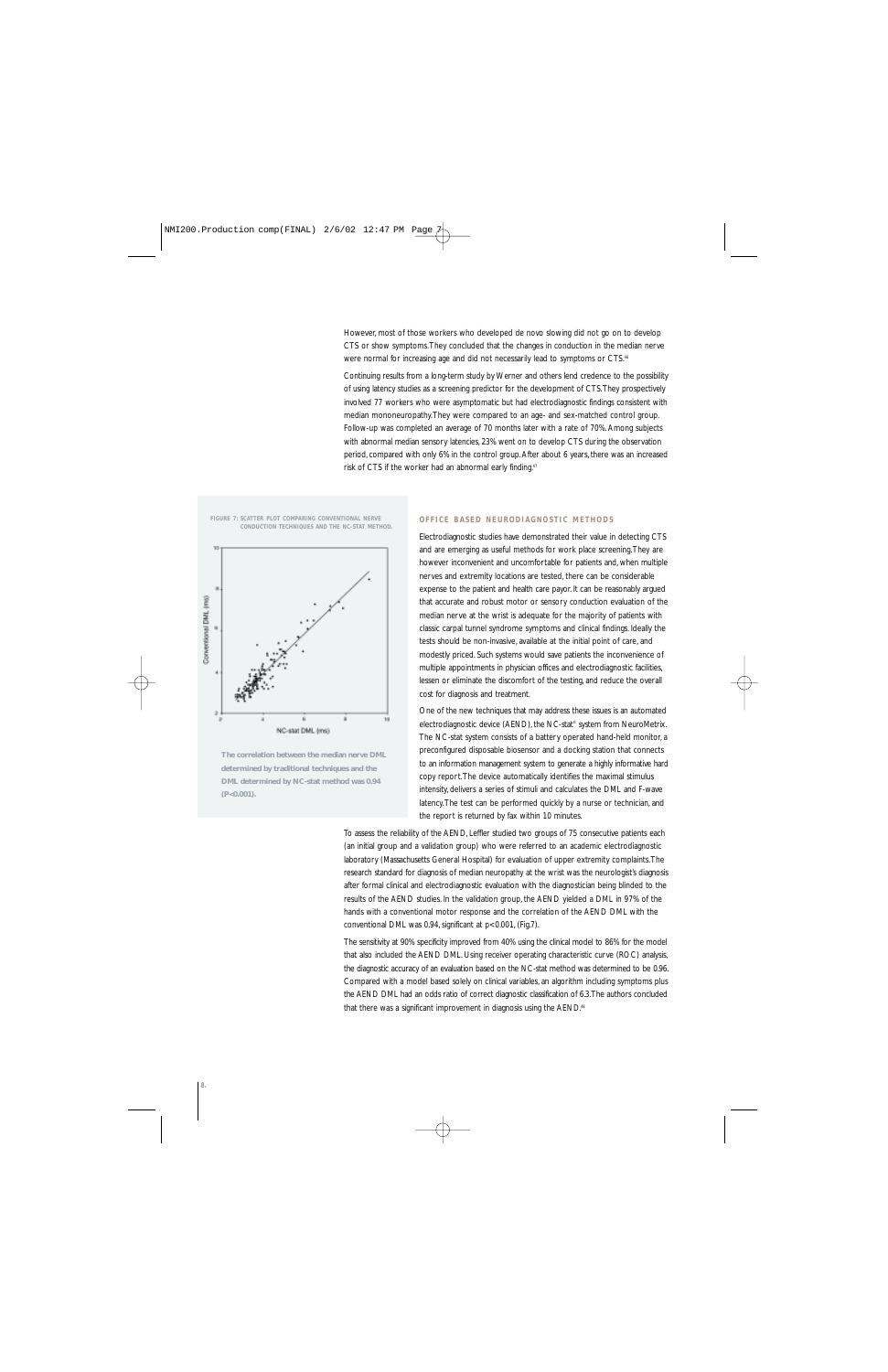However, most of those workers who developed de novo slowing did not go on to develop CTS or show symptoms.They concluded that the changes in conduction in the median nerve were normal for increasing age and did not necessarily lead to symptoms or CTS.<sup>46</sup>

Continuing results from a long-term study by Werner and others lend credence to the possibility of using latency studies as a screening predictor for the development of CTS.They prospectively involved 77 workers who were asymptomatic but had electrodiagnostic findings consistent with median mononeuropathy.They were compared to an age- and sex-matched control group. Follow-up was completed an average of 70 months later with a rate of 70%. Among subjects with abnormal median sensory latencies, 23% went on to develop CTS during the observation period, compared with only 6% in the control group. After about 6 years, there was an increased risk of CTS if the worker had an abnormal early finding.47

**FIGURE 7: SCATTER PLOT COMPARING CONVENTIONAL NERVE CONDUCTION TECHNIQUES AND THE NC-STAT METHOD.**



**The correlation between the median nerve DML determined by traditional techniques and the DML determined by NC-stat method was 0.94 (P<0.001).**

## **OFFICE BASED NEURODIAGNOSTIC METHODS**

Electrodiagnostic studies have demonstrated their value in detecting CTS and are emerging as useful methods for work place screening.They are however inconvenient and uncomfortable for patients and, when multiple nerves and extremity locations are tested, there can be considerable expense to the patient and health care payor. It can be reasonably argued that accurate and robust motor or sensory conduction evaluation of the median nerve at the wrist is adequate for the majority of patients with classic carpal tunnel syndrome symptoms and clinical findings. Ideally the tests should be non-invasive, available at the initial point of care, and modestly priced. Such systems would save patients the inconvenience of multiple appointments in physician offices and electrodiagnostic facilities, lessen or eliminate the discomfort of the testing, and reduce the overall cost for diagnosis and treatment.

One of the new techniques that may address these issues is an automated electrodiagnostic device (AEND), the NC-stat® system from NeuroMetrix. The NC-stat system consists of a battery operated hand-held monitor, a preconfigured disposable biosensor and a docking station that connects to an information management system to generate a highly informative hard copy report.The device automatically identifies the maximal stimulus intensity, delivers a series of stimuli and calculates the DML and F-wave latency.The test can be performed quickly by a nurse or technician, and the report is returned by fax within 10 minutes.

To assess the reliability of the AEND, Leffler studied two groups of 75 consecutive patients each (an initial group and a validation group) who were referred to an academic electrodiagnostic laboratory (Massachusetts General Hospital) for evaluation of upper extremity complaints.The research standard for diagnosis of median neuropathy at the wrist was the neurologist's diagnosis after formal clinical and electrodiagnostic evaluation with the diagnostician being blinded to the results of the AEND studies. In the validation group, the AEND yielded a DML in 97% of the hands with a conventional motor response and the correlation of the AEND DML with the conventional DML was 0.94, significant at p<0.001, (Fig.7).

The sensitivity at 90% specificity improved from 40% using the clinical model to 86% for the model that also included the AEND DML. Using receiver operating characteristic curve (ROC) analysis, the diagnostic accuracy of an evaluation based on the NC-stat method was determined to be 0.96. Compared with a model based solely on clinical variables, an algorithm including symptoms plus the AEND DML had an odds ratio of correct diagnostic classification of 6.3.The authors concluded that there was a significant improvement in diagnosis using the AEND.<sup>48</sup>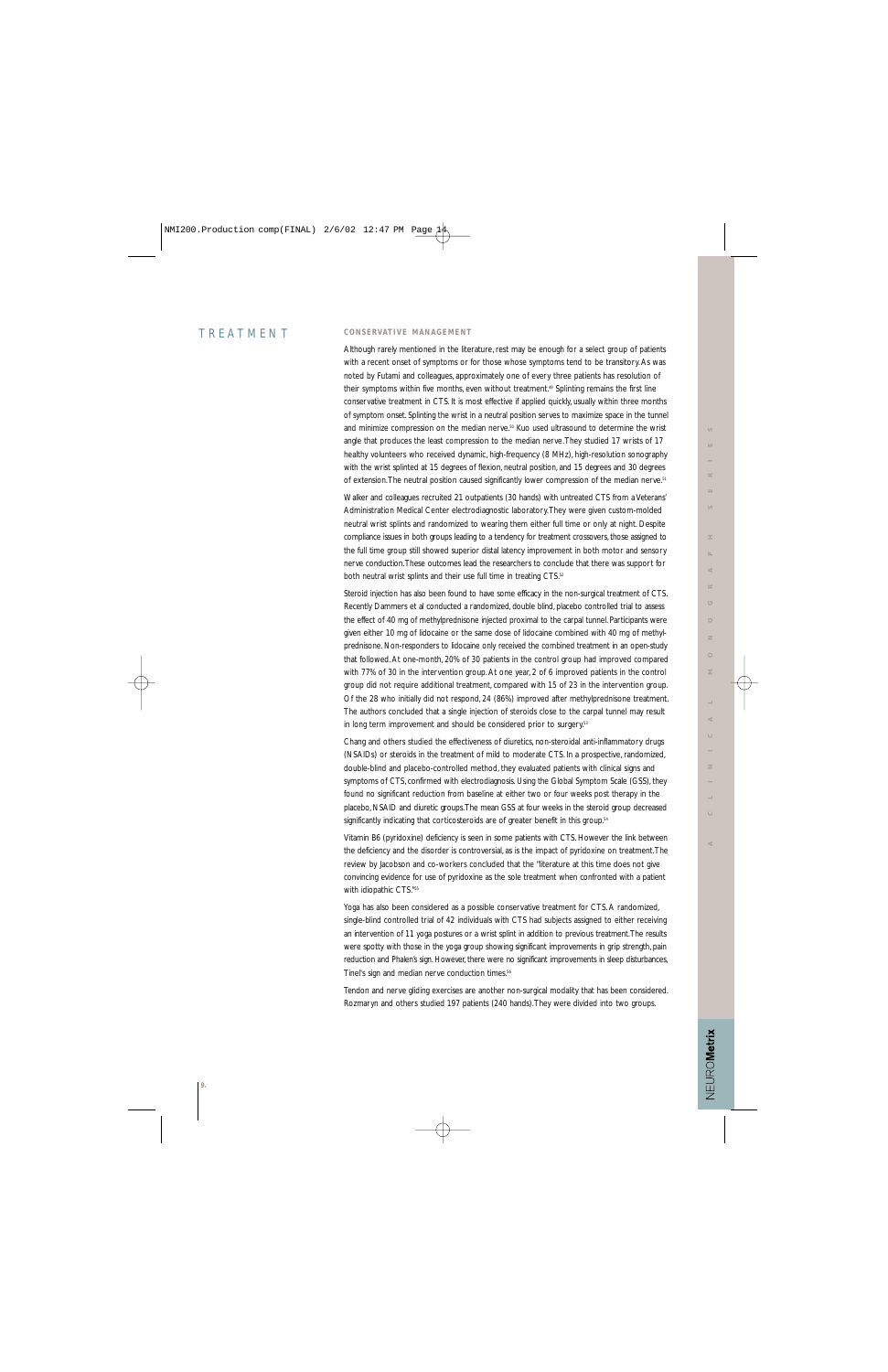## TREATMENT

## **CONSERVATIVE MANAGEMENT**

Although rarely mentioned in the literature, rest may be enough for a select group of patients with a recent onset of symptoms or for those whose symptoms tend to be transitory. As was noted by Futami and colleagues, approximately one of every three patients has resolution of their symptoms within five months, even without treatment.<sup>49</sup> Splinting remains the first line conservative treatment in CTS. It is most effective if applied quickly, usually within three months of symptom onset. Splinting the wrist in a neutral position serves to maximize space in the tunnel and minimize compression on the median nerve.<sup>50</sup> Kuo used ultrasound to determine the wrist angle that produces the least compression to the median nerve.They studied 17 wrists of 17 healthy volunteers who received dynamic, high-frequency (8 MHz), high-resolution sonography with the wrist splinted at 15 degrees of flexion, neutral position, and 15 degrees and 30 degrees of extension. The neutral position caused significantly lower compression of the median nerve.<sup>51</sup>

Walker and colleagues recruited 21 outpatients (30 hands) with untreated CTS from a Veterans' Administration Medical Center electrodiagnostic laboratory.They were given custom-molded neutral wrist splints and randomized to wearing them either full time or only at night. Despite compliance issues in both groups leading to a tendency for treatment crossovers, those assigned to the full time group still showed superior distal latency improvement in both motor and sensory nerve conduction.These outcomes lead the researchers to conclude that there was support for both neutral wrist splints and their use full time in treating CTS.<sup>52</sup>

Steroid injection has also been found to have some efficacy in the non-surgical treatment of CTS. Recently Dammers et al conducted a randomized, double blind, placebo controlled trial to assess the effect of 40 mg of methylprednisone injected proximal to the carpal tunnel. Participants were given either 10 mg of lidocaine or the same dose of lidocaine combined with 40 mg of methylprednisone. Non-responders to lidocaine only received the combined treatment in an open-study that followed. At one-month, 20% of 30 patients in the control group had improved compared with 77% of 30 in the intervention group. At one year, 2 of 6 improved patients in the control group did not require additional treatment, compared with 15 of 23 in the intervention group. Of the 28 who initially did not respond, 24 (86%) improved after methylprednisone treatment. The authors concluded that a single injection of steroids close to the carpal tunnel may result in long term improvement and should be considered prior to surgery.<sup>53</sup>

Chang and others studied the effectiveness of diuretics, non-steroidal anti-inflammatory drugs (NSAIDs) or steroids in the treatment of mild to moderate CTS. In a prospective, randomized, double-blind and placebo-controlled method, they evaluated patients with clinical signs and symptoms of CTS, confirmed with electrodiagnosis. Using the Global Symptom Scale (GSS), they found no significant reduction from baseline at either two or four weeks post therapy in the placebo, NSAID and diuretic groups.The mean GSS at four weeks in the steroid group decreased significantly indicating that corticosteroids are of greater benefit in this group.<sup>54</sup>

Vitamin B6 (pyridoxine) deficiency is seen in some patients with CTS. However the link between the deficiency and the disorder is controversial, as is the impact of pyridoxine on treatment.The review by Jacobson and co-workers concluded that the "literature at this time does not give convincing evidence for use of pyridoxine as the sole treatment when confronted with a patient with idiopathic CTS."55

Yoga has also been considered as a possible conservative treatment for CTS. A randomized, single-blind controlled trial of 42 individuals with CTS had subjects assigned to either receiving an intervention of 11 yoga postures or a wrist splint in addition to previous treatment.The results were spotty with those in the yoga group showing significant improvements in grip strength, pain reduction and Phalen's sign. However, there were no significant improvements in sleep disturbances, Tinel's sign and median nerve conduction times.<sup>56</sup>

Tendon and nerve gliding exercises are another non-surgical modality that has been considered. Rozmaryn and others studied 197 patients (240 hands).They were divided into two groups.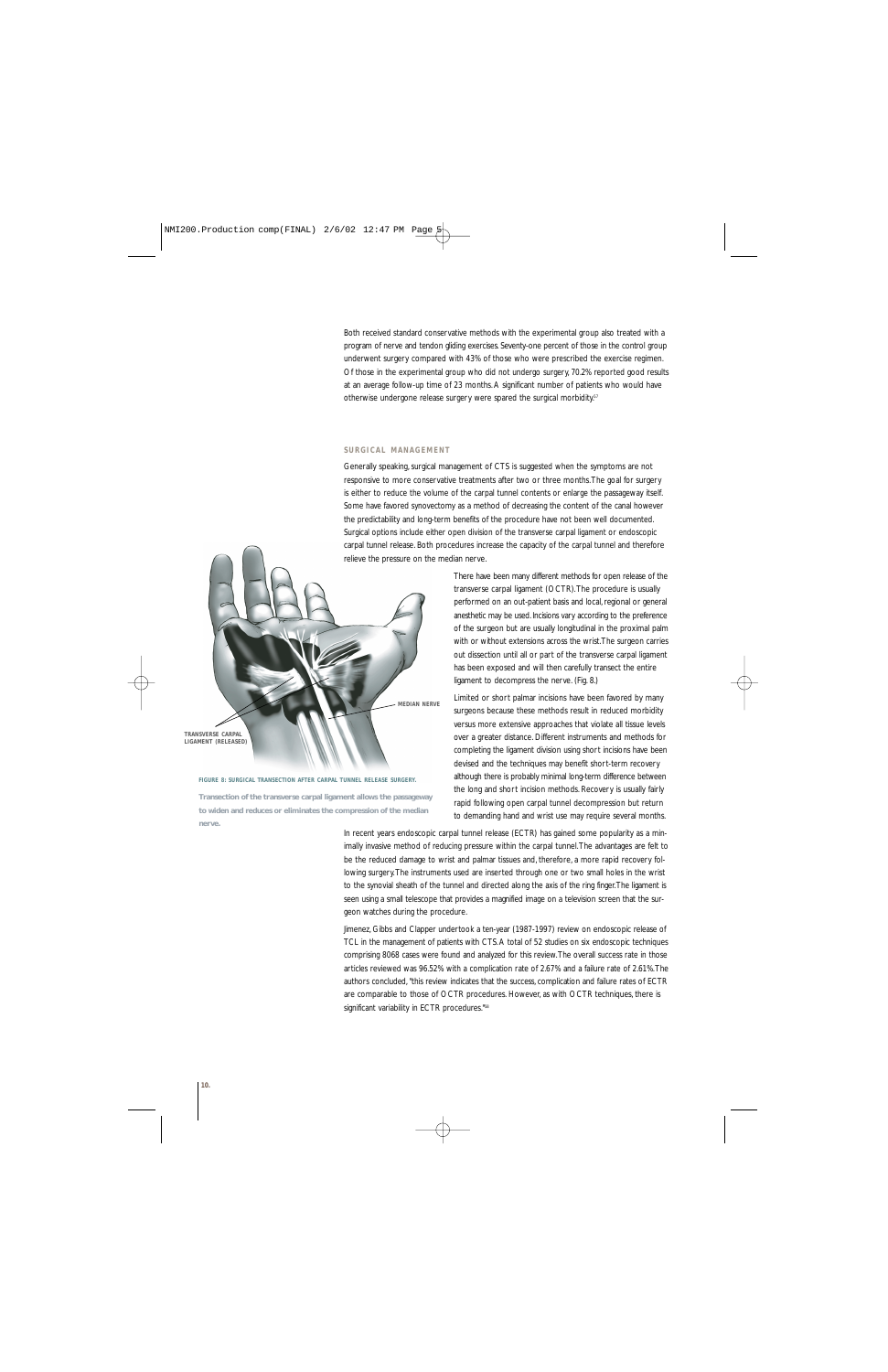Both received standard conservative methods with the experimental group also treated with a program of nerve and tendon gliding exercises. Seventy-one percent of those in the control group underwent surgery compared with 43% of those who were prescribed the exercise regimen. Of those in the experimental group who did not undergo surgery, 70.2% reported good results at an average follow-up time of 23 months. A significant number of patients who would have otherwise undergone release surgery were spared the surgical morbidity.<sup>57</sup>

#### **SURGICAL MANAGEMENT**

Generally speaking, surgical management of CTS is suggested when the symptoms are not responsive to more conservative treatments after two or three months.The goal for surgery is either to reduce the volume of the carpal tunnel contents or enlarge the passageway itself. Some have favored synovectomy as a method of decreasing the content of the canal however the predictability and long-term benefits of the procedure have not been well documented. Surgical options include either open division of the transverse carpal ligament or endoscopic carpal tunnel release. Both procedures increase the capacity of the carpal tunnel and therefore relieve the pressure on the median nerve.



## **FIGURE 8: SURGICAL TRANSECTION AFTER CARPAL TUNNEL RELEASE SURGERY.**

**Transection of the transverse carpal ligament allows the passageway to widen and reduces or eliminates the compression of the median nerve.**

There have been many different methods for open release of the transverse carpal ligament (OCTR).The procedure is usually performed on an out-patient basis and local, regional or general anesthetic may be used. Incisions vary according to the preference of the surgeon but are usually longitudinal in the proximal palm with or without extensions across the wrist.The surgeon carries out dissection until all or part of the transverse carpal ligament has been exposed and will then carefully transect the entire ligament to decompress the nerve. (Fig. 8.)

Limited or short palmar incisions have been favored by many surgeons because these methods result in reduced morbidity versus more extensive approaches that violate all tissue levels over a greater distance. Different instruments and methods for completing the ligament division using short incisions have been devised and the techniques may benefit short-term recovery although there is probably minimal long-term difference between the long and short incision methods. Recovery is usually fairly rapid following open carpal tunnel decompression but return to demanding hand and wrist use may require several months.

In recent years endoscopic carpal tunnel release (ECTR) has gained some popularity as a minimally invasive method of reducing pressure within the carpal tunnel.The advantages are felt to be the reduced damage to wrist and palmar tissues and, therefore, a more rapid recovery following surgery.The instruments used are inserted through one or two small holes in the wrist to the synovial sheath of the tunnel and directed along the axis of the ring finger.The ligament is seen using a small telescope that provides a magnified image on a television screen that the surgeon watches during the procedure.

Jimenez, Gibbs and Clapper undertook a ten-year (1987-1997) review on endoscopic release of TCL in the management of patients with CTS. A total of 52 studies on six endoscopic techniques comprising 8068 cases were found and analyzed for this review.The overall success rate in those articles reviewed was 96.52% with a complication rate of 2.67% and a failure rate of 2.61%.The authors concluded, "this review indicates that the success, complication and failure rates of ECTR are comparable to those of OCTR procedures. However, as with OCTR techniques, there is significant variability in ECTR procedures."<sup>58</sup>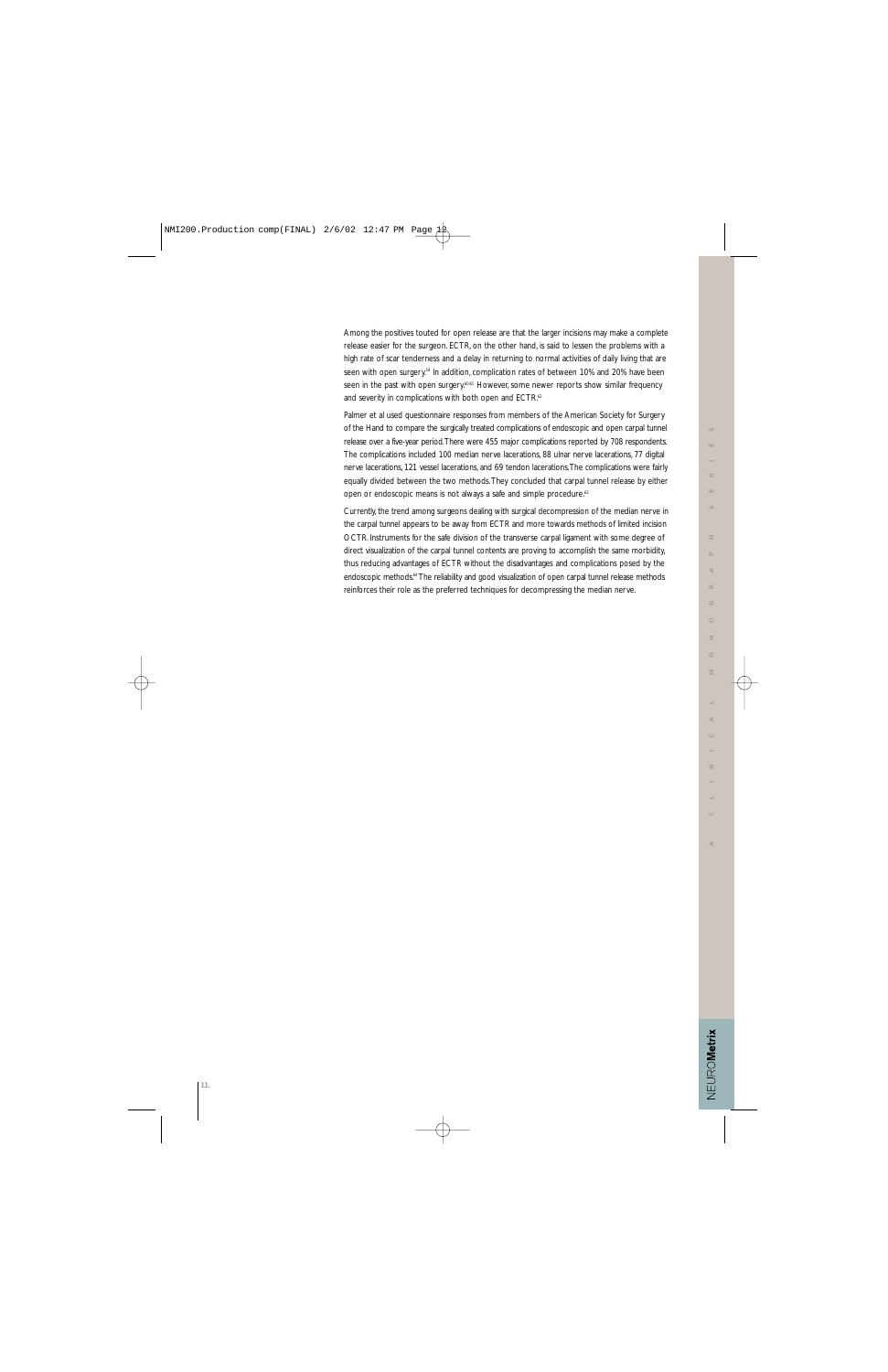VEUROMetrix

Palmer et al used questionnaire responses from members of the American Society for Surgery of the Hand to compare the surgically treated complications of endoscopic and open carpal tunnel release over a five-year period.There were 455 major complications reported by 708 respondents. The complications included 100 median nerve lacerations, 88 ulnar nerve lacerations, 77 digital nerve lacerations, 121 vessel lacerations, and 69 tendon lacerations.The complications were fairly equally divided between the two methods.They concluded that carpal tunnel release by either open or endoscopic means is not always a safe and simple procedure.<sup>63</sup>

Currently, the trend among surgeons dealing with surgical decompression of the median nerve in the carpal tunnel appears to be away from ECTR and more towards methods of limited incision OCTR. Instruments for the safe division of the transverse carpal ligament with some degree of direct visualization of the carpal tunnel contents are proving to accomplish the same morbidity, thus reducing advantages of ECTR without the disadvantages and complications posed by the endoscopic methods.<sup>64</sup> The reliability and good visualization of open carpal tunnel release methods reinforces their role as the preferred techniques for decompressing the median nerve.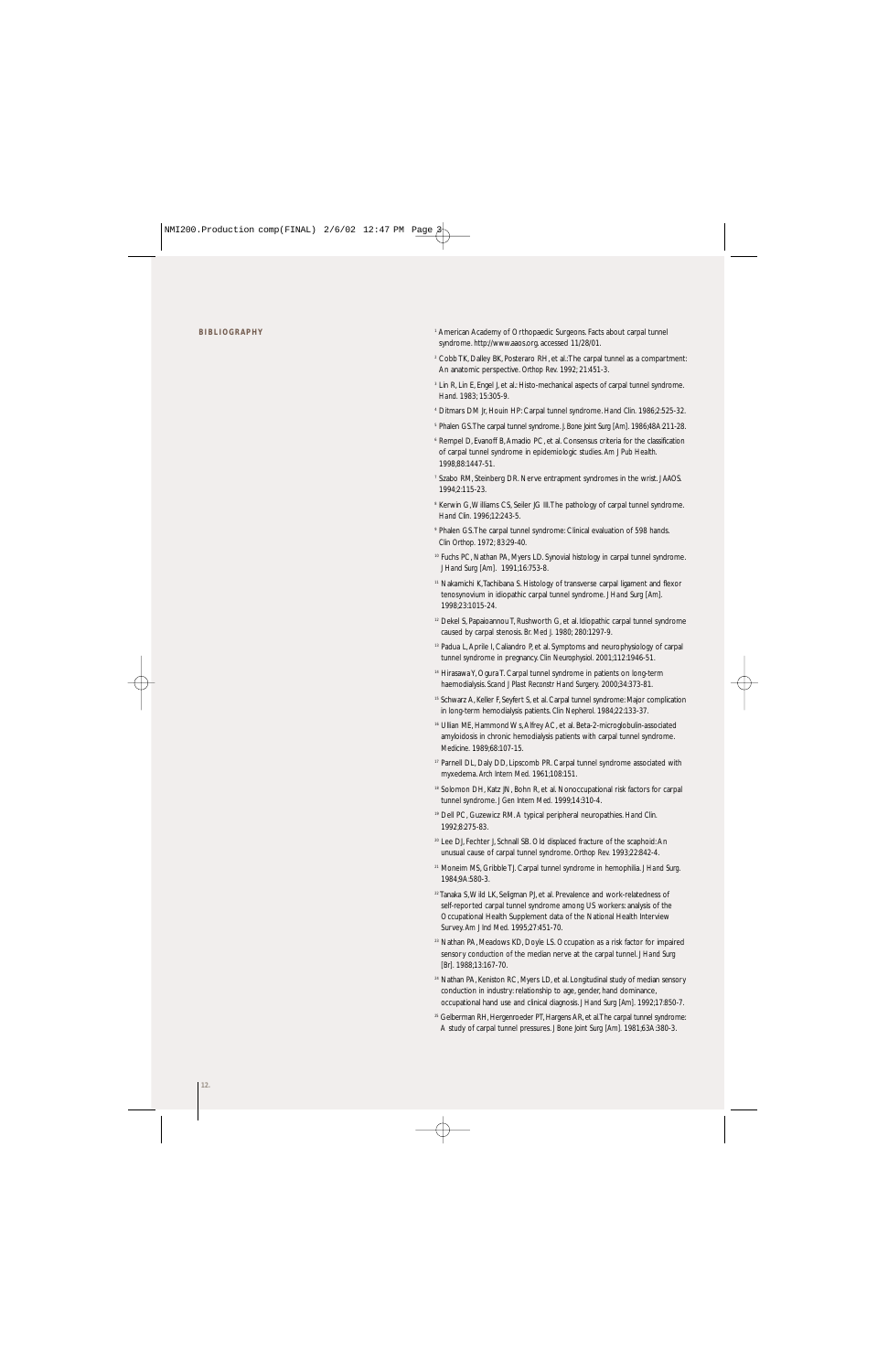- <sup>1</sup> American Academy of Orthopaedic Surgeons. Facts about carpal tunnel syndrome. http://www.aaos.org. accessed 11/28/01.
- <sup>2</sup> Cobb TK, Dalley BK, Posteraro RH, et al.:The carpal tunnel as a compartment: An anatomic perspective. *Orthop Rev.* 1992; 21:451-3.
- <sup>3</sup> Lin R, Lin E, Engel J, et al.: Histo-mechanical aspects of carpal tunnel syndrome. *Hand.* 1983; 15:305-9.
- <sup>4</sup> Ditmars DM Jr, Houin HP: Carpal tunnel syndrome. *Hand Clin.* 1986;2:525-32.
- <sup>5</sup> Phalen GS.The carpal tunnel syndrome. *J. Bone Joint Surg [Am].* 1986;48A:211-28.
- <sup>6</sup> Rempel D, Evanoff B, Amadio PC, et al. Consensus criteria for the classification of carpal tunnel syndrome in epidemiologic studies. *Am J Pub Health.* 1998;88:1447-51.
- <sup>7</sup> Szabo RM, Steinberg DR. Nerve entrapment syndromes in the wrist. *J AAOS.* 1994;2:115-23.
- <sup>8</sup> Kerwin G, Williams CS, Seiler JG III. The pathology of carpal tunnel syndrome. *Hand Clin.* 1996;12:243-5.
- <sup>9</sup> Phalen GS.The carpal tunnel syndrome: Clinical evaluation of 598 hands. *Clin Orthop.* 1972; 83:29-40.
- 10 Fuchs PC, Nathan PA, Myers LD. Synovial histology in carpal tunnel syndrome. *J Hand Surg [Am].* 1991;16:753-8.
- <sup>11</sup> Nakamichi K,Tachibana S. Histology of transverse carpal ligament and flexor tenosynovium in idiopathic carpal tunnel syndrome. *J Hand Surg [Am].* 1998;23:1015-24.
- <sup>12</sup> Dekel S, Papaioannou T, Rushworth G, et al. Idiopathic carpal tunnel syndrome caused by carpal stenosis. *Br. Med J.* 1980; 280:1297-9.
- <sup>13</sup> Padua L, Aprile I, Caliandro P, et al. Symptoms and neurophysiology of carpal tunnel syndrome in pregnancy. *Clin Neurophysiol.* 2001;112:1946-51.
- <sup>14</sup> Hirasawa Y, Ogura T. Carpal tunnel syndrome in patients on long-term haemodialysis. *Scand J Plast Reconstr Hand Surgery.* 2000;34:373-81.
- <sup>15</sup> Schwarz A, Keller F, Seyfert S, et al. Carpal tunnel syndrome: Major complication in long-term hemodialysis patients. *Clin Nepherol.* 1984;22:133-37.
- <sup>16</sup> Ullian ME, Hammond Ws, Alfrey AC, et al. Beta-2-microglobulin-associated amyloidosis in chronic hemodialysis patients with carpal tunnel syndrome. *Medicine.* 1989;68:107-15.
- <sup>17</sup> Parnell DL, Daly DD, Lipscomb PR. Carpal tunnel syndrome associated with myxedema. *Arch Intern Med.* 1961;108:151.
- 18 Solomon DH, Katz JN, Bohn R, et al. Nonoccupational risk factors for carpal tunnel syndrome. *J Gen Intern Med.* 1999;14:310-4.
- <sup>19</sup> Dell PC, Guzewicz RM. A typical peripheral neuropathies. *Hand Clin.* 1992;8:275-83.
- <sup>20</sup> Lee DJ, Fechter J, Schnall SB. Old displaced fracture of the scaphoid: An unusual cause of carpal tunnel syndrome. *Orthop Rev.* 1993;22:842-4.
- <sup>21</sup> Moneim MS, Gribble TJ. Carpal tunnel syndrome in hemophilia. *J Hand Surg.* 1984;9A:580-3.
- $22$  Tanaka S, Wild LK, Seligman PJ, et al. Prevalence and work-relatedness of self-reported carpal tunnel syndrome among US workers: analysis of the Occupational Health Supplement data of the National Health Interview Survey. *Am J Ind Med.* 1995;27:451-70.
- <sup>23</sup> Nathan PA, Meadows KD, Doyle LS. Occupation as a risk factor for impaired sensory conduction of the median nerve at the carpal tunnel. *J Hand Surg [Br].* 1988;13:167-70.
- <sup>24</sup> Nathan PA, Keniston RC, Myers LD, et al. Longitudinal study of median sensory conduction in industry: relationship to age, gender, hand dominance, occupational hand use and clinical diagnosis. *J Hand Surg [Am].* 1992;17:850-7.
- <sup>25</sup> Gelberman RH, Hergenroeder PT, Hargens AR, et al. The carpal tunnel syndrome: A study of carpal tunnel pressures. *J Bone Joint Surg [Am].* 1981;63A:380-3.